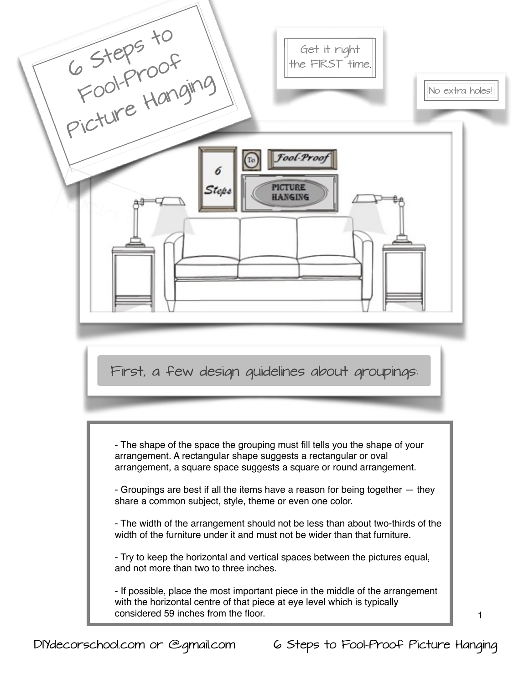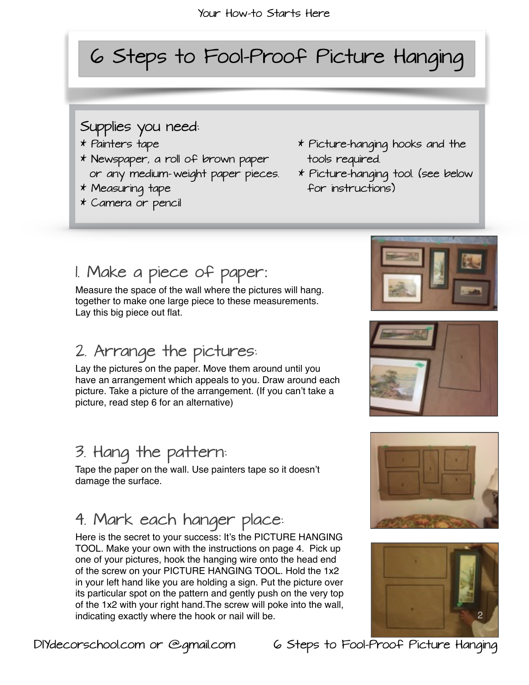# 6 Steps to Fool-Proof Picture Hanging

#### Supplies you need:

- 
- \* Newspaper, a roll of brown paper tools required. or any medium- weight paper pieces. \* Picture-hanging tool. (see below
- 
- \* Camera or pencil
- \* Painters tape \* Picture-hanging hooks and the
- \* Measuring tape for instructions)

## 1. Make a piece of paper:

Measure the space of the wall where the pictures will hang. together to make one large piece to these measurements. Lay this big piece out flat.

#### 2. Arrange the pictures:

 Lay the pictures on the paper. Move them around until you have an arrangement which appeals to you. Draw around each picture. Take a picture of the arrangement. (If you can't take a picture, read step 6 for an alternative)

### 3. Hang the pattern:

 Tape the paper on the wall. Use painters tape so it doesn't damage the surface.

## 4. Mark each hanger place:

 Here is the secret to your success: It's the PICTURE HANGING TOOL. Make your own with the instructions on page 4. Pick up one of your pictures, hook the hanging wire onto the head end of the screw on your PICTURE HANGING TOOL. Hold the 1x2 in your left hand like you are holding a sign. Put the picture over its particular spot on the pattern and gently push on the very top of the 1x2 with your right hand.The screw will poke into the wall, indicating exactly where the hook or nail will be.









DIYdecorschool.com or @gmail.com 6 Steps to Fool-Proof Picture Hanging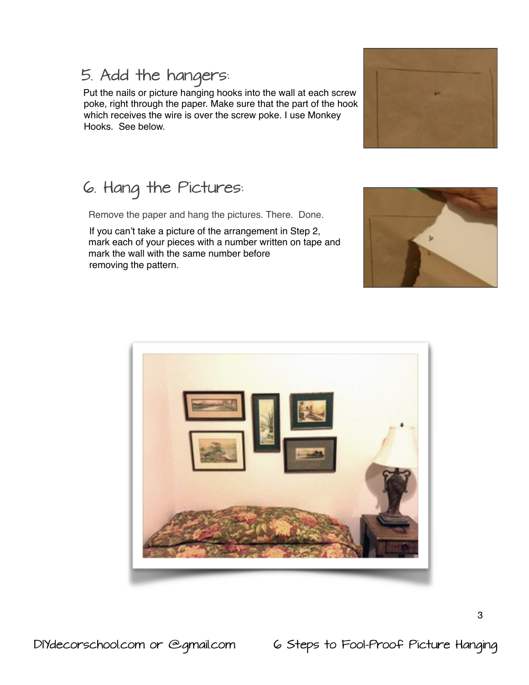DIYdecorschool.com or @gmail.com 6 Steps to Fool-Proof Picture Hanging

#### 5. Add the hangers:

 Put the nails or picture hanging hooks into the wall at each screw poke, right through the paper. Make sure that the part of the hook which receives the wire is over the screw poke. I use Monkey Hooks. See below.

## 6. Hang the Pictures:

Remove the paper and hang the pictures. There. Done.

 If you can't take a picture of the arrangement in Step 2, mark each of your pieces with a number written on tape and mark the wall with the same number before removing the pattern.